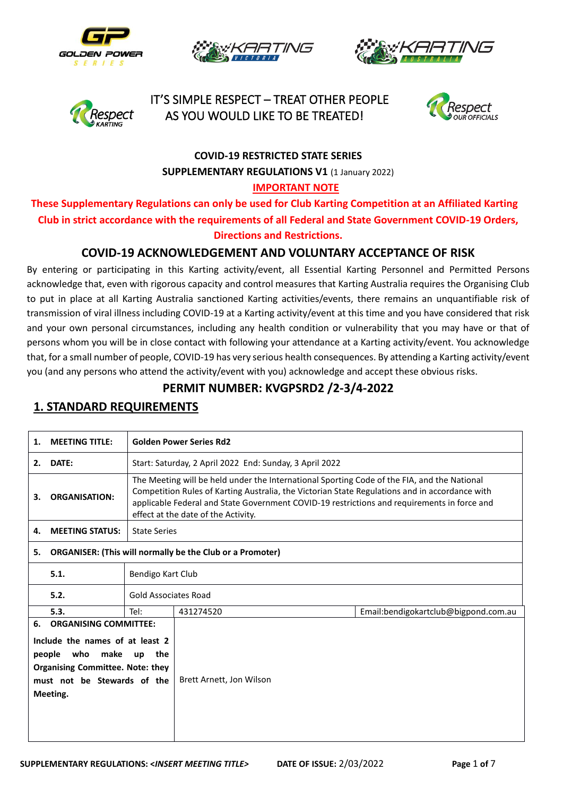







 IT'S SIMPLE RESPECT – TREAT OTHER PEOPLE AS YOU WOULD LIKE TO BE TREATED!



# **COVID-19 RESTRICTED STATE SERIES SUPPLEMENTARY REGULATIONS V1 (1 January 2022)**

#### **IMPORTANT NOTE**

**These Supplementary Regulations can only be used for Club Karting Competition at an Affiliated Karting Club in strict accordance with the requirements of all Federal and State Government COVID-19 Orders, Directions and Restrictions.**

#### **COVID-19 ACKNOWLEDGEMENT AND VOLUNTARY ACCEPTANCE OF RISK**

By entering or participating in this Karting activity/event, all Essential Karting Personnel and Permitted Persons acknowledge that, even with rigorous capacity and control measures that Karting Australia requires the Organising Club to put in place at all Karting Australia sanctioned Karting activities/events, there remains an unquantifiable risk of transmission of viral illness including COVID-19 at a Karting activity/event at this time and you have considered that risk and your own personal circumstances, including any health condition or vulnerability that you may have or that of persons whom you will be in close contact with following your attendance at a Karting activity/event. You acknowledge that, for a small number of people, COVID-19 has very serious health consequences. By attending a Karting activity/event you (and any persons who attend the activity/event with you) acknowledge and accept these obvious risks.

#### **PERMIT NUMBER: KVGPSRD2 /2-3/4-2022**

# **1. MEETING TITLE: Golden Power Series Rd2 2. DATE:** Start: Saturday, 2 April 2022 End: Sunday, 3 April 2022 **3. ORGANISATION:** The Meeting will be held under the International Sporting Code of the FIA, and the National Competition Rules of Karting Australia, the Victorian State Regulations and in accordance with applicable Federal and State Government COVID-19 restrictions and requirements in force and effect at the date of the Activity. **4. MEETING STATUS:** State Series **5. ORGANISER: (This will normally be the Club or a Promoter) 5.1.** Bendigo Kart Club **5.2.** Gold Associates Road **5.3.** Tel: 431274520 Email:bendigokartclub@bigpond.com.au **6. ORGANISING COMMITTEE: Include the names of at least 2 people who make up the Organising Committee. Note: they must not be Stewards of the Meeting.** Brett Arnett, Jon Wilson

#### **1. STANDARD REQUIREMENTS**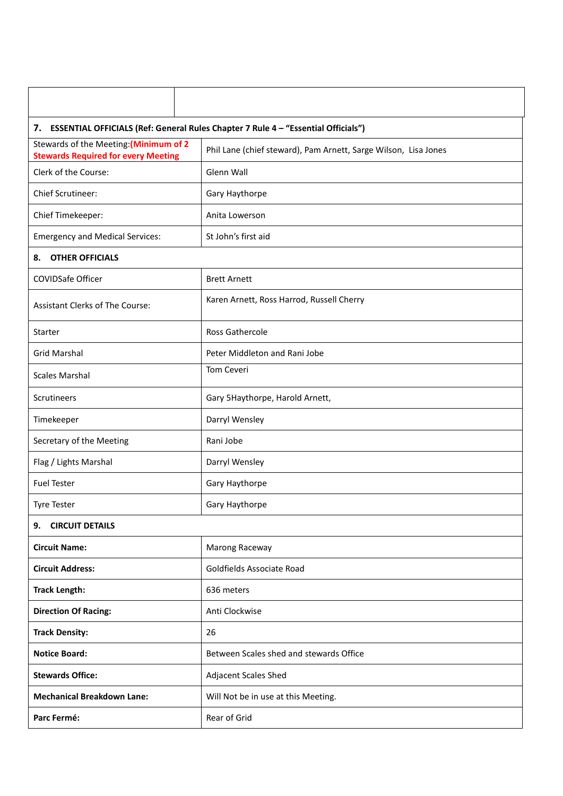| 7. ESSENTIAL OFFICIALS (Ref: General Rules Chapter 7 Rule 4 - "Essential Officials") |                                                                 |  |  |  |
|--------------------------------------------------------------------------------------|-----------------------------------------------------------------|--|--|--|
| Stewards of the Meeting: (Minimum of 2<br><b>Stewards Required for every Meeting</b> | Phil Lane (chief steward), Pam Arnett, Sarge Wilson, Lisa Jones |  |  |  |
| Clerk of the Course:                                                                 | Glenn Wall                                                      |  |  |  |
| <b>Chief Scrutineer:</b>                                                             | Gary Haythorpe                                                  |  |  |  |
| Chief Timekeeper:                                                                    | Anita Lowerson                                                  |  |  |  |
| <b>Emergency and Medical Services:</b>                                               | St John's first aid                                             |  |  |  |
| <b>OTHER OFFICIALS</b><br>8.                                                         |                                                                 |  |  |  |
| <b>COVIDSafe Officer</b>                                                             | <b>Brett Arnett</b>                                             |  |  |  |
| <b>Assistant Clerks of The Course:</b>                                               | Karen Arnett, Ross Harrod, Russell Cherry                       |  |  |  |
| <b>Starter</b>                                                                       | <b>Ross Gathercole</b>                                          |  |  |  |
| <b>Grid Marshal</b>                                                                  | Peter Middleton and Rani Jobe                                   |  |  |  |
| <b>Scales Marshal</b>                                                                | Tom Ceveri                                                      |  |  |  |
| Scrutineers                                                                          | Gary 5Haythorpe, Harold Arnett,                                 |  |  |  |
| Timekeeper                                                                           | Darryl Wensley                                                  |  |  |  |
| Secretary of the Meeting                                                             | Rani Jobe                                                       |  |  |  |
| Flag / Lights Marshal                                                                | Darryl Wensley                                                  |  |  |  |
| <b>Fuel Tester</b>                                                                   | Gary Haythorpe                                                  |  |  |  |
| <b>Tyre Tester</b>                                                                   | Gary Haythorpe                                                  |  |  |  |
| <b>CIRCUIT DETAILS</b><br>9.                                                         |                                                                 |  |  |  |
| <b>Circuit Name:</b>                                                                 | Marong Raceway                                                  |  |  |  |
| <b>Circuit Address:</b>                                                              | Goldfields Associate Road                                       |  |  |  |
| <b>Track Length:</b>                                                                 | 636 meters                                                      |  |  |  |
| <b>Direction Of Racing:</b>                                                          | Anti Clockwise                                                  |  |  |  |
| <b>Track Density:</b>                                                                | 26                                                              |  |  |  |
| <b>Notice Board:</b>                                                                 | Between Scales shed and stewards Office                         |  |  |  |
| <b>Stewards Office:</b>                                                              | <b>Adjacent Scales Shed</b>                                     |  |  |  |
| <b>Mechanical Breakdown Lane:</b>                                                    | Will Not be in use at this Meeting.                             |  |  |  |
| Parc Fermé:                                                                          | Rear of Grid                                                    |  |  |  |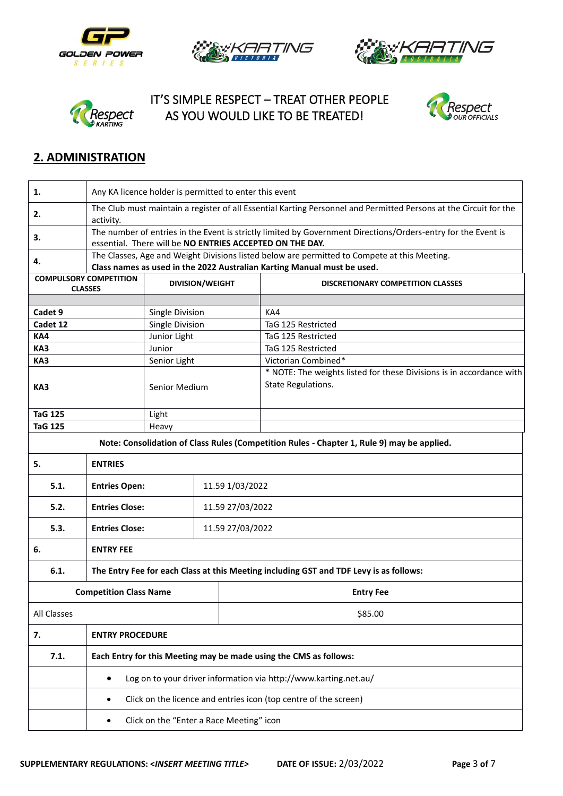







 IT'S SIMPLE RESPECT – TREAT OTHER PEOPLE AS YOU WOULD LIKE TO BE TREATED!



## **2. ADMINISTRATION**

| 1.             | Any KA licence holder is permitted to enter this event                                                                     |                 |  |                  |                                                                                              |  |
|----------------|----------------------------------------------------------------------------------------------------------------------------|-----------------|--|------------------|----------------------------------------------------------------------------------------------|--|
| 2.             | The Club must maintain a register of all Essential Karting Personnel and Permitted Persons at the Circuit for the          |                 |  |                  |                                                                                              |  |
|                | activity.<br>The number of entries in the Event is strictly limited by Government Directions/Orders-entry for the Event is |                 |  |                  |                                                                                              |  |
| 3.             |                                                                                                                            |                 |  |                  | essential. There will be NO ENTRIES ACCEPTED ON THE DAY.                                     |  |
| 4.             |                                                                                                                            |                 |  |                  | The Classes, Age and Weight Divisions listed below are permitted to Compete at this Meeting. |  |
|                |                                                                                                                            |                 |  |                  | Class names as used in the 2022 Australian Karting Manual must be used.                      |  |
|                | <b>COMPULSORY COMPETITION</b><br><b>DIVISION/WEIGHT</b><br><b>DISCRETIONARY COMPETITION CLASSES</b><br><b>CLASSES</b>      |                 |  |                  |                                                                                              |  |
|                |                                                                                                                            |                 |  |                  |                                                                                              |  |
| Cadet 9        |                                                                                                                            | Single Division |  |                  | KA4                                                                                          |  |
| Cadet 12       |                                                                                                                            | Single Division |  |                  | TaG 125 Restricted                                                                           |  |
| KA4            |                                                                                                                            | Junior Light    |  |                  | TaG 125 Restricted                                                                           |  |
| KA3            |                                                                                                                            | Junior          |  |                  | TaG 125 Restricted                                                                           |  |
| KA3            |                                                                                                                            | Senior Light    |  |                  | Victorian Combined*                                                                          |  |
|                |                                                                                                                            |                 |  |                  | * NOTE: The weights listed for these Divisions is in accordance with                         |  |
| KA3            |                                                                                                                            | Senior Medium   |  |                  | State Regulations.                                                                           |  |
|                |                                                                                                                            |                 |  |                  |                                                                                              |  |
| <b>TaG 125</b> |                                                                                                                            | Light           |  |                  |                                                                                              |  |
| <b>TaG 125</b> |                                                                                                                            | Heavy           |  |                  |                                                                                              |  |
|                |                                                                                                                            |                 |  |                  | Note: Consolidation of Class Rules (Competition Rules - Chapter 1, Rule 9) may be applied.   |  |
| 5.             | <b>ENTRIES</b>                                                                                                             |                 |  |                  |                                                                                              |  |
| 5.1.           | <b>Entries Open:</b>                                                                                                       | 11.59 1/03/2022 |  |                  |                                                                                              |  |
| 5.2.           | <b>Entries Close:</b>                                                                                                      |                 |  | 11.59 27/03/2022 |                                                                                              |  |
| 5.3.           | <b>Entries Close:</b>                                                                                                      |                 |  | 11.59 27/03/2022 |                                                                                              |  |
| 6.             | <b>ENTRY FEE</b>                                                                                                           |                 |  |                  |                                                                                              |  |
|                |                                                                                                                            |                 |  |                  |                                                                                              |  |
| 6.1.           | The Entry Fee for each Class at this Meeting including GST and TDF Levy is as follows:                                     |                 |  |                  |                                                                                              |  |
|                | <b>Competition Class Name</b>                                                                                              |                 |  | <b>Entry Fee</b> |                                                                                              |  |
| All Classes    |                                                                                                                            |                 |  |                  | \$85.00                                                                                      |  |
| 7.             | <b>ENTRY PROCEDURE</b>                                                                                                     |                 |  |                  |                                                                                              |  |
| 7.1.           | Each Entry for this Meeting may be made using the CMS as follows:                                                          |                 |  |                  |                                                                                              |  |
|                | $\bullet$                                                                                                                  |                 |  |                  | Log on to your driver information via http://www.karting.net.au/                             |  |
|                | ٠                                                                                                                          |                 |  |                  | Click on the licence and entries icon (top centre of the screen)                             |  |
|                | Click on the "Enter a Race Meeting" icon<br>$\bullet$                                                                      |                 |  |                  |                                                                                              |  |
|                |                                                                                                                            |                 |  |                  |                                                                                              |  |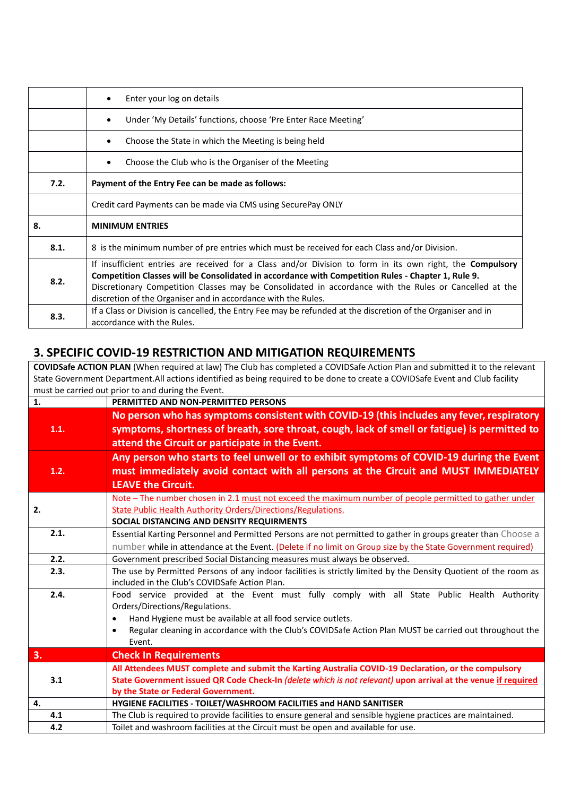|      | Enter your log on details                                                                                                                                                                                                                                                                                                                                                                         |  |  |  |  |
|------|---------------------------------------------------------------------------------------------------------------------------------------------------------------------------------------------------------------------------------------------------------------------------------------------------------------------------------------------------------------------------------------------------|--|--|--|--|
|      | Under 'My Details' functions, choose 'Pre Enter Race Meeting'                                                                                                                                                                                                                                                                                                                                     |  |  |  |  |
|      | Choose the State in which the Meeting is being held                                                                                                                                                                                                                                                                                                                                               |  |  |  |  |
|      | Choose the Club who is the Organiser of the Meeting                                                                                                                                                                                                                                                                                                                                               |  |  |  |  |
| 7.2. | Payment of the Entry Fee can be made as follows:                                                                                                                                                                                                                                                                                                                                                  |  |  |  |  |
|      | Credit card Payments can be made via CMS using SecurePay ONLY                                                                                                                                                                                                                                                                                                                                     |  |  |  |  |
| 8.   | <b>MINIMUM ENTRIES</b>                                                                                                                                                                                                                                                                                                                                                                            |  |  |  |  |
| 8.1. | 8 is the minimum number of pre entries which must be received for each Class and/or Division.                                                                                                                                                                                                                                                                                                     |  |  |  |  |
| 8.2. | If insufficient entries are received for a Class and/or Division to form in its own right, the <b>Compulsory</b><br>Competition Classes will be Consolidated in accordance with Competition Rules - Chapter 1, Rule 9.<br>Discretionary Competition Classes may be Consolidated in accordance with the Rules or Cancelled at the<br>discretion of the Organiser and in accordance with the Rules. |  |  |  |  |
| 8.3. | If a Class or Division is cancelled, the Entry Fee may be refunded at the discretion of the Organiser and in<br>accordance with the Rules.                                                                                                                                                                                                                                                        |  |  |  |  |

## **3. SPECIFIC COVID-19 RESTRICTION AND MITIGATION REQUIREMENTS**

**COVIDSafe ACTION PLAN** (When required at law) The Club has completed a COVIDSafe Action Plan and submitted it to the relevant State Government Department.All actions identified as being required to be done to create a COVIDSafe Event and Club facility must be carried out prior to and during the Event.

| 1.   | PERMITTED AND NON-PERMITTED PERSONS                                                                                                                                                                                                                                                                                                         |
|------|---------------------------------------------------------------------------------------------------------------------------------------------------------------------------------------------------------------------------------------------------------------------------------------------------------------------------------------------|
| 1.1. | No person who has symptoms consistent with COVID-19 (this includes any fever, respiratory<br>symptoms, shortness of breath, sore throat, cough, lack of smell or fatigue) is permitted to<br>attend the Circuit or participate in the Event.                                                                                                |
| 1.2. | Any person who starts to feel unwell or to exhibit symptoms of COVID-19 during the Event<br>must immediately avoid contact with all persons at the Circuit and MUST IMMEDIATELY<br><b>LEAVE the Circuit.</b>                                                                                                                                |
| 2.   | Note - The number chosen in 2.1 must not exceed the maximum number of people permitted to gather under<br>State Public Health Authority Orders/Directions/Regulations.<br>SOCIAL DISTANCING AND DENSITY REQUIRMENTS                                                                                                                         |
| 2.1. | Essential Karting Personnel and Permitted Persons are not permitted to gather in groups greater than Choose a<br>number while in attendance at the Event. (Delete if no limit on Group size by the State Government required)                                                                                                               |
| 2.2. | Government prescribed Social Distancing measures must always be observed.                                                                                                                                                                                                                                                                   |
| 2.3. | The use by Permitted Persons of any indoor facilities is strictly limited by the Density Quotient of the room as<br>included in the Club's COVIDSafe Action Plan.                                                                                                                                                                           |
| 2.4. | Food service provided at the Event must fully comply with all State Public Health Authority<br>Orders/Directions/Regulations.<br>Hand Hygiene must be available at all food service outlets.<br>$\bullet$<br>Regular cleaning in accordance with the Club's COVIDSafe Action Plan MUST be carried out throughout the<br>$\bullet$<br>Event. |
| 3.   | <b>Check In Requirements</b>                                                                                                                                                                                                                                                                                                                |
| 3.1  | All Attendees MUST complete and submit the Karting Australia COVID-19 Declaration, or the compulsory<br>State Government issued QR Code Check-In (delete which is not relevant) upon arrival at the venue if required<br>by the State or Federal Government.                                                                                |
| 4.   | HYGIENE FACILITIES - TOILET/WASHROOM FACILITIES and HAND SANITISER                                                                                                                                                                                                                                                                          |
| 4.1  | The Club is required to provide facilities to ensure general and sensible hygiene practices are maintained.                                                                                                                                                                                                                                 |
| 4.2  | Toilet and washroom facilities at the Circuit must be open and available for use.                                                                                                                                                                                                                                                           |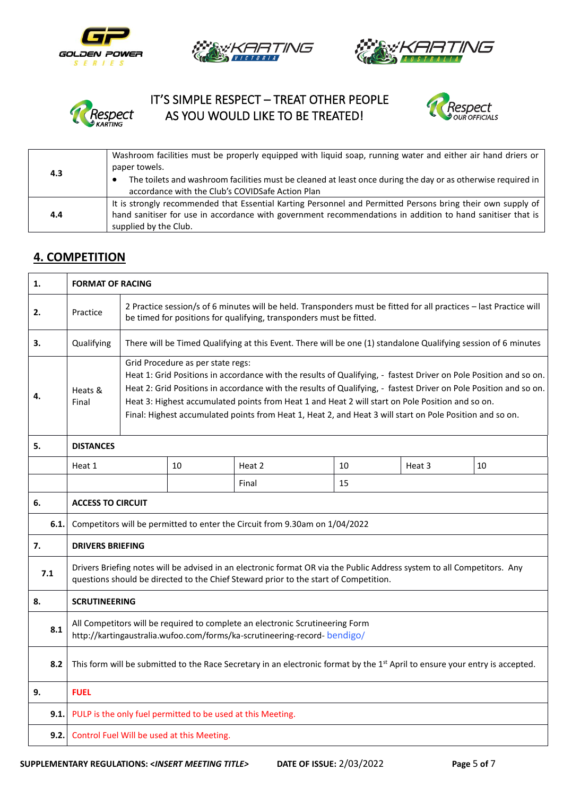







# IT'S SIMPLE RESPECT – TREAT OTHER PEOPLE Respect AS YOU WOULD LIKE TO BE TREATED!



| 4.3 | Washroom facilities must be properly equipped with liquid soap, running water and either air hand driers or<br>paper towels.                                                                                                                       |
|-----|----------------------------------------------------------------------------------------------------------------------------------------------------------------------------------------------------------------------------------------------------|
|     | The toilets and washroom facilities must be cleaned at least once during the day or as otherwise required in<br>accordance with the Club's COVIDSafe Action Plan                                                                                   |
| 4.4 | It is strongly recommended that Essential Karting Personnel and Permitted Persons bring their own supply of<br>hand sanitiser for use in accordance with government recommendations in addition to hand sanitiser that is<br>supplied by the Club. |

#### **4. COMPETITION**

| <b>FORMAT OF RACING</b>                                                                                                                                                                                                |                                                                                                                                                                                                                                                                                                                                                                                                                                                                                             |                                                                                                                |        |                                                             |        |    |
|------------------------------------------------------------------------------------------------------------------------------------------------------------------------------------------------------------------------|---------------------------------------------------------------------------------------------------------------------------------------------------------------------------------------------------------------------------------------------------------------------------------------------------------------------------------------------------------------------------------------------------------------------------------------------------------------------------------------------|----------------------------------------------------------------------------------------------------------------|--------|-------------------------------------------------------------|--------|----|
| Practice                                                                                                                                                                                                               | 2 Practice session/s of 6 minutes will be held. Transponders must be fitted for all practices - last Practice will<br>be timed for positions for qualifying, transponders must be fitted.                                                                                                                                                                                                                                                                                                   |                                                                                                                |        |                                                             |        |    |
| Qualifying                                                                                                                                                                                                             |                                                                                                                                                                                                                                                                                                                                                                                                                                                                                             | There will be Timed Qualifying at this Event. There will be one (1) standalone Qualifying session of 6 minutes |        |                                                             |        |    |
| Heats &<br>Final                                                                                                                                                                                                       | Grid Procedure as per state regs:<br>Heat 1: Grid Positions in accordance with the results of Qualifying, - fastest Driver on Pole Position and so on.<br>Heat 2: Grid Positions in accordance with the results of Qualifying, - fastest Driver on Pole Position and so on.<br>Heat 3: Highest accumulated points from Heat 1 and Heat 2 will start on Pole Position and so on.<br>Final: Highest accumulated points from Heat 1, Heat 2, and Heat 3 will start on Pole Position and so on. |                                                                                                                |        |                                                             |        |    |
| <b>DISTANCES</b>                                                                                                                                                                                                       |                                                                                                                                                                                                                                                                                                                                                                                                                                                                                             |                                                                                                                |        |                                                             |        |    |
| Heat 1                                                                                                                                                                                                                 |                                                                                                                                                                                                                                                                                                                                                                                                                                                                                             | 10                                                                                                             | Heat 2 | 10                                                          | Heat 3 | 10 |
| 15<br>Final                                                                                                                                                                                                            |                                                                                                                                                                                                                                                                                                                                                                                                                                                                                             |                                                                                                                |        |                                                             |        |    |
| <b>ACCESS TO CIRCUIT</b>                                                                                                                                                                                               |                                                                                                                                                                                                                                                                                                                                                                                                                                                                                             |                                                                                                                |        |                                                             |        |    |
| 6.1.<br>Competitors will be permitted to enter the Circuit from 9.30am on 1/04/2022                                                                                                                                    |                                                                                                                                                                                                                                                                                                                                                                                                                                                                                             |                                                                                                                |        |                                                             |        |    |
| <b>DRIVERS BRIEFING</b>                                                                                                                                                                                                |                                                                                                                                                                                                                                                                                                                                                                                                                                                                                             |                                                                                                                |        |                                                             |        |    |
| Drivers Briefing notes will be advised in an electronic format OR via the Public Address system to all Competitors. Any<br>7.1<br>questions should be directed to the Chief Steward prior to the start of Competition. |                                                                                                                                                                                                                                                                                                                                                                                                                                                                                             |                                                                                                                |        |                                                             |        |    |
| <b>SCRUTINEERING</b>                                                                                                                                                                                                   |                                                                                                                                                                                                                                                                                                                                                                                                                                                                                             |                                                                                                                |        |                                                             |        |    |
| All Competitors will be required to complete an electronic Scrutineering Form<br>http://kartingaustralia.wufoo.com/forms/ka-scrutineering-record-bendigo/                                                              |                                                                                                                                                                                                                                                                                                                                                                                                                                                                                             |                                                                                                                |        |                                                             |        |    |
| This form will be submitted to the Race Secretary in an electronic format by the 1st April to ensure your entry is accepted.<br>8.2                                                                                    |                                                                                                                                                                                                                                                                                                                                                                                                                                                                                             |                                                                                                                |        |                                                             |        |    |
| <b>FUEL</b>                                                                                                                                                                                                            |                                                                                                                                                                                                                                                                                                                                                                                                                                                                                             |                                                                                                                |        |                                                             |        |    |
|                                                                                                                                                                                                                        |                                                                                                                                                                                                                                                                                                                                                                                                                                                                                             |                                                                                                                |        |                                                             |        |    |
| Control Fuel Will be used at this Meeting.                                                                                                                                                                             |                                                                                                                                                                                                                                                                                                                                                                                                                                                                                             |                                                                                                                |        |                                                             |        |    |
|                                                                                                                                                                                                                        |                                                                                                                                                                                                                                                                                                                                                                                                                                                                                             |                                                                                                                |        | PULP is the only fuel permitted to be used at this Meeting. |        |    |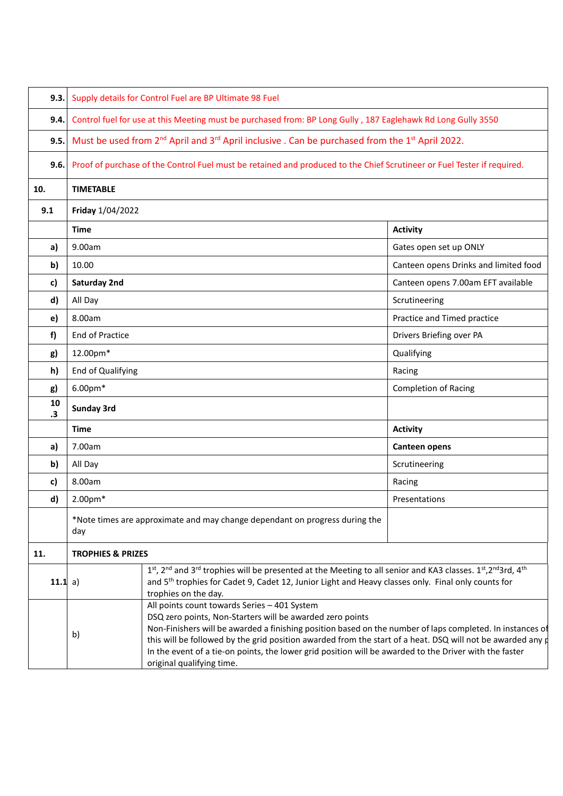| 9.3.     |                                                                                                                                     | Supply details for Control Fuel are BP Ultimate 98 Fuel                                                                                                                                                                                                                                                                                                                                                                                                                            |                                       |  |  |  |  |
|----------|-------------------------------------------------------------------------------------------------------------------------------------|------------------------------------------------------------------------------------------------------------------------------------------------------------------------------------------------------------------------------------------------------------------------------------------------------------------------------------------------------------------------------------------------------------------------------------------------------------------------------------|---------------------------------------|--|--|--|--|
| 9.4.     | Control fuel for use at this Meeting must be purchased from: BP Long Gully, 187 Eaglehawk Rd Long Gully 3550                        |                                                                                                                                                                                                                                                                                                                                                                                                                                                                                    |                                       |  |  |  |  |
| 9.5.     | Must be used from 2 <sup>nd</sup> April and 3 <sup>rd</sup> April inclusive . Can be purchased from the 1 <sup>st</sup> April 2022. |                                                                                                                                                                                                                                                                                                                                                                                                                                                                                    |                                       |  |  |  |  |
| 9.6.     | Proof of purchase of the Control Fuel must be retained and produced to the Chief Scrutineer or Fuel Tester if required.             |                                                                                                                                                                                                                                                                                                                                                                                                                                                                                    |                                       |  |  |  |  |
| 10.      | <b>TIMETABLE</b>                                                                                                                    |                                                                                                                                                                                                                                                                                                                                                                                                                                                                                    |                                       |  |  |  |  |
| 9.1      | Friday 1/04/2022                                                                                                                    |                                                                                                                                                                                                                                                                                                                                                                                                                                                                                    |                                       |  |  |  |  |
|          | <b>Time</b>                                                                                                                         |                                                                                                                                                                                                                                                                                                                                                                                                                                                                                    | <b>Activity</b>                       |  |  |  |  |
| a)       | 9.00am                                                                                                                              |                                                                                                                                                                                                                                                                                                                                                                                                                                                                                    | Gates open set up ONLY                |  |  |  |  |
| b)       | 10.00                                                                                                                               |                                                                                                                                                                                                                                                                                                                                                                                                                                                                                    | Canteen opens Drinks and limited food |  |  |  |  |
| c)       | Saturday 2nd                                                                                                                        |                                                                                                                                                                                                                                                                                                                                                                                                                                                                                    | Canteen opens 7.00am EFT available    |  |  |  |  |
| d)       | All Day                                                                                                                             |                                                                                                                                                                                                                                                                                                                                                                                                                                                                                    | Scrutineering                         |  |  |  |  |
| e)       | 8.00am                                                                                                                              |                                                                                                                                                                                                                                                                                                                                                                                                                                                                                    | Practice and Timed practice           |  |  |  |  |
| f)       | <b>End of Practice</b>                                                                                                              |                                                                                                                                                                                                                                                                                                                                                                                                                                                                                    | Drivers Briefing over PA              |  |  |  |  |
| g)       | 12.00pm*                                                                                                                            |                                                                                                                                                                                                                                                                                                                                                                                                                                                                                    | Qualifying                            |  |  |  |  |
| h)       | End of Qualifying                                                                                                                   |                                                                                                                                                                                                                                                                                                                                                                                                                                                                                    | Racing                                |  |  |  |  |
| g)       | $6.00pm*$                                                                                                                           |                                                                                                                                                                                                                                                                                                                                                                                                                                                                                    | <b>Completion of Racing</b>           |  |  |  |  |
| 10<br>.3 | <b>Sunday 3rd</b>                                                                                                                   |                                                                                                                                                                                                                                                                                                                                                                                                                                                                                    |                                       |  |  |  |  |
|          | <b>Time</b>                                                                                                                         |                                                                                                                                                                                                                                                                                                                                                                                                                                                                                    | <b>Activity</b>                       |  |  |  |  |
| a)       | 7.00am                                                                                                                              |                                                                                                                                                                                                                                                                                                                                                                                                                                                                                    | Canteen opens                         |  |  |  |  |
| b)       | All Day                                                                                                                             |                                                                                                                                                                                                                                                                                                                                                                                                                                                                                    | Scrutineering                         |  |  |  |  |
| c)       | 8.00am                                                                                                                              |                                                                                                                                                                                                                                                                                                                                                                                                                                                                                    | Racing                                |  |  |  |  |
| d)       | 2.00pm*                                                                                                                             |                                                                                                                                                                                                                                                                                                                                                                                                                                                                                    | Presentations                         |  |  |  |  |
|          | *Note times are approximate and may change dependant on progress during the<br>day                                                  |                                                                                                                                                                                                                                                                                                                                                                                                                                                                                    |                                       |  |  |  |  |
| 11.      | <b>TROPHIES &amp; PRIZES</b>                                                                                                        |                                                                                                                                                                                                                                                                                                                                                                                                                                                                                    |                                       |  |  |  |  |
| 11.1 a)  |                                                                                                                                     | 1st, 2 <sup>nd</sup> and 3 <sup>rd</sup> trophies will be presented at the Meeting to all senior and KA3 classes. 1st, 2 <sup>nd</sup> 3rd, 4 <sup>th</sup><br>and 5 <sup>th</sup> trophies for Cadet 9, Cadet 12, Junior Light and Heavy classes only. Final only counts for<br>trophies on the day.                                                                                                                                                                              |                                       |  |  |  |  |
|          | b)                                                                                                                                  | All points count towards Series - 401 System<br>DSQ zero points, Non-Starters will be awarded zero points<br>Non-Finishers will be awarded a finishing position based on the number of laps completed. In instances of<br>this will be followed by the grid position awarded from the start of a heat. DSQ will not be awarded any $\sharp$<br>In the event of a tie-on points, the lower grid position will be awarded to the Driver with the faster<br>original qualifying time. |                                       |  |  |  |  |